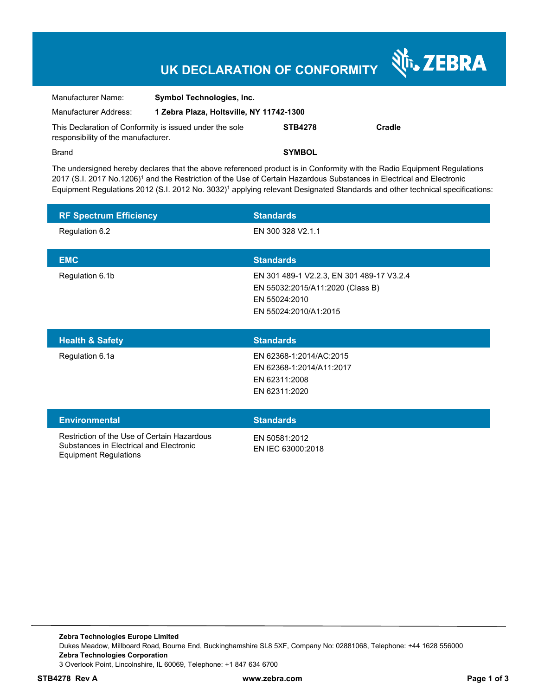# **UK DECLARATION OF CONFORMITY**

Nr. ZEBRA

| Manufacturer Name:                  | <b>Symbol Technologies, Inc.</b>                        |                |        |  |
|-------------------------------------|---------------------------------------------------------|----------------|--------|--|
| Manufacturer Address:               | 1 Zebra Plaza, Holtsville, NY 11742-1300                |                |        |  |
| responsibility of the manufacturer. | This Declaration of Conformity is issued under the sole | <b>STB4278</b> | Cradle |  |
| <b>Brand</b>                        |                                                         | <b>SYMBOL</b>  |        |  |

The undersigned hereby declares that the above referenced product is in Conformity with the Radio Equipment Regulations 2017 (S.I. 2017 No.1206)<sup>1</sup> and the Restriction of the Use of Certain Hazardous Substances in Electrical and Electronic Equipment Regulations 2012 (S.I. 2012 No. 3032)<sup>1</sup> applying relevant Designated Standards and other technical specifications:

| <b>RF Spectrum Efficiency</b> | <b>Standards</b>                                                                                                        |
|-------------------------------|-------------------------------------------------------------------------------------------------------------------------|
| Regulation 6.2                | EN 300 328 V2.1.1                                                                                                       |
| <b>EMC</b>                    | <b>Standards</b>                                                                                                        |
| Regulation 6.1b               | EN 301 489-1 V2.2.3, EN 301 489-17 V3.2.4<br>EN 55032:2015/A11:2020 (Class B)<br>EN 55024:2010<br>EN 55024:2010/A1:2015 |
|                               |                                                                                                                         |
| <b>Health &amp; Safety</b>    | <b>Standards</b>                                                                                                        |
| Regulation 6.1a               | EN 62368-1:2014/AC:2015<br>EN 62368-1:2014/A11:2017<br>EN 62311:2008<br>EN 62311:2020                                   |
| <b>Environmental</b>          | <b>Standards</b>                                                                                                        |

EN IEC 63000:2018

Equipment Regulations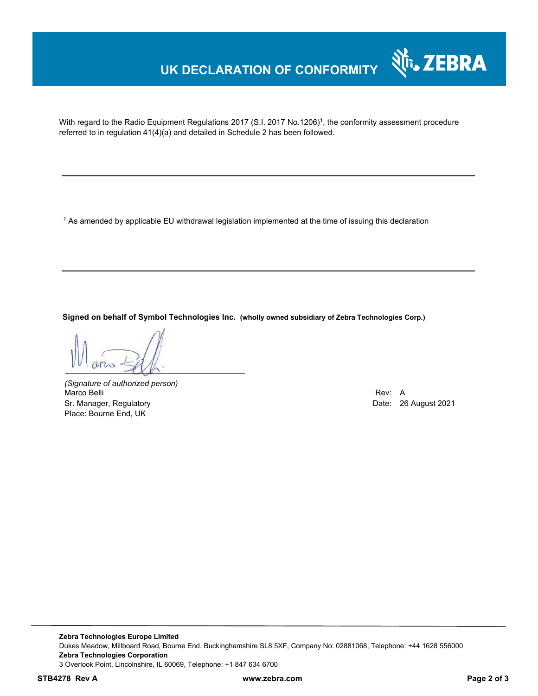### **UK DECLARATION OF CONFORMITY**



With regard to the Radio Equipment Regulations 2017 (S.I. 2017 No.1206)<sup>1</sup>, the conformity assessment procedure referred to in regulation 41(4)(a) and detailed in Schedule 2 has been followed.

 $^{\rm 1}$  As amended by applicable EU withdrawal legislation implemented at the time of issuing this declaration

**Signed on behalf of Symbol Technologies Inc. (wholly owned subsidiary of Zebra Technologies Corp.)**

*(Signature of authorized person)* Marco Belli Rev: A Annual Rev: A Annual Rev: A Annual Rev: A Annual Rev: A Annual Rev: A Annual Rev: A Annual Rev Sr. Manager, Regulatory **Date: 26 August 2021** Controller Manager, Regulatory **Date: 26 August 2021** Place: Bourne End, UK

**Zebra Technologies Europe Limited**  Dukes Meadow, Millboard Road, Bourne End, Buckinghamshire SL8 5XF, Company No: 02881068, Telephone: +44 1628 556000 **Zebra Technologies Corporation**  3 Overlook Point, Lincolnshire, IL 60069, Telephone: +1 847 634 6700